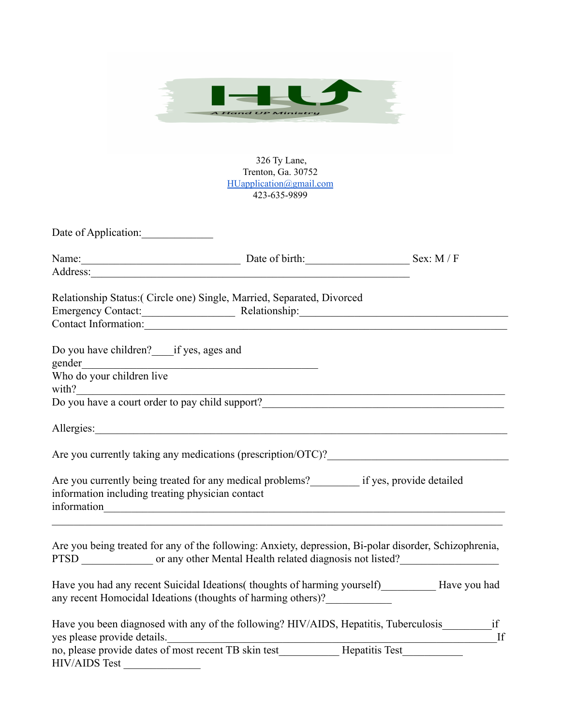

326 Ty Lane, Trenton, Ga. 30752 [HUapplication@gmail.com](mailto:HUapplication@gmail.com) 423-635-9899

| Date of Application:                             |                                                                                                                                                        |    |
|--------------------------------------------------|--------------------------------------------------------------------------------------------------------------------------------------------------------|----|
|                                                  | Name: Sex: M/F                                                                                                                                         |    |
|                                                  | Address:                                                                                                                                               |    |
|                                                  | Relationship Status: (Circle one) Single, Married, Separated, Divorced                                                                                 |    |
|                                                  | Emergency Contact: Relationship: Relationship:                                                                                                         |    |
|                                                  | Contact Information: Contact Information:                                                                                                              |    |
| Do you have children? _____ if yes, ages and     |                                                                                                                                                        |    |
| Who do your children live                        |                                                                                                                                                        |    |
|                                                  |                                                                                                                                                        |    |
|                                                  | Allergies:                                                                                                                                             |    |
|                                                  |                                                                                                                                                        |    |
| information including treating physician contact | Are you currently being treated for any medical problems? if yes, provide detailed                                                                     |    |
|                                                  | Are you being treated for any of the following: Anxiety, depression, Bi-polar disorder, Schizophrenia,                                                 |    |
|                                                  | Have you had any recent Suicidal Ideations (thoughts of harming yourself) Have you had<br>any recent Homocidal Ideations (thoughts of harming others)? |    |
|                                                  | Have you been diagnosed with any of the following? HIV/AIDS, Hepatitis, Tuberculosis if                                                                | If |
| <b>HIV/AIDS Test</b>                             |                                                                                                                                                        |    |